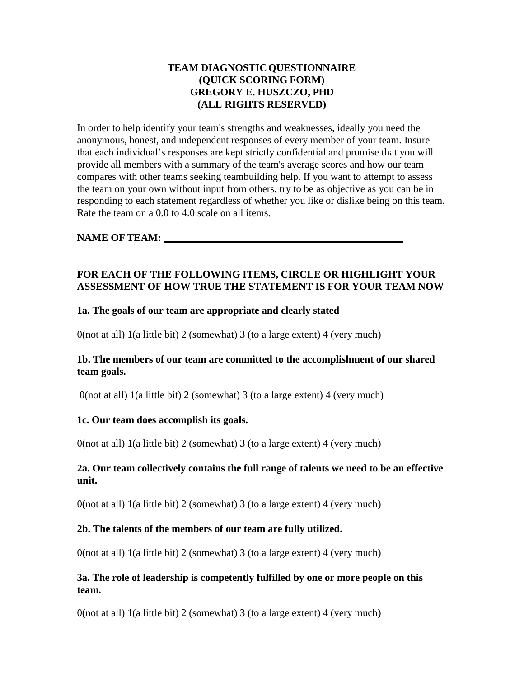## **TEAM DIAGNOSTICQUESTIONNAIRE (QUICK SCORING FORM) GREGORY E. HUSZCZO, PHD (ALL RIGHTS RESERVED)**

In order to help identify your team's strengths and weaknesses, ideally you need the anonymous, honest, and independent responses of every member of your team. Insure that each individual's responses are kept strictly confidential and promise that you will provide all members with a summary of the team's average scores and how our team compares with other teams seeking teambuilding help. If you want to attempt to assess the team on your own without input from others, try to be as objective as you can be in responding to each statement regardless of whether you like or dislike being on this team. Rate the team on a 0.0 to 4.0 scale on all items.

## **NAME OF TEAM:**

## **FOR EACH OF THE FOLLOWING ITEMS, CIRCLE OR HIGHLIGHT YOUR ASSESSMENT OF HOW TRUE THE STATEMENT IS FOR YOUR TEAM NOW**

#### **1a. The goals of our team are appropriate and clearly stated**

0(not at all) 1(a little bit) 2 (somewhat) 3 (to a large extent) 4 (very much)

#### **1b. The members of our team are committed to the accomplishment of our shared team goals.**

0(not at all) 1(a little bit) 2 (somewhat) 3 (to a large extent) 4 (very much)

#### **1c. Our team does accomplish its goals.**

 $0$ (not at all) 1(a little bit) 2 (somewhat) 3 (to a large extent) 4 (very much)

## **2a. Our team collectively contains the full range of talents we need to be an effective unit.**

0(not at all) 1(a little bit) 2 (somewhat) 3 (to a large extent) 4 (very much)

#### **2b. The talents of the members of our team are fully utilized.**

 $0$ (not at all) 1(a little bit) 2 (somewhat) 3 (to a large extent) 4 (very much)

## **3a. The role of leadership is competently fulfilled by one or more people on this team.**

 $0$ (not at all) 1(a little bit) 2 (somewhat) 3 (to a large extent) 4 (very much)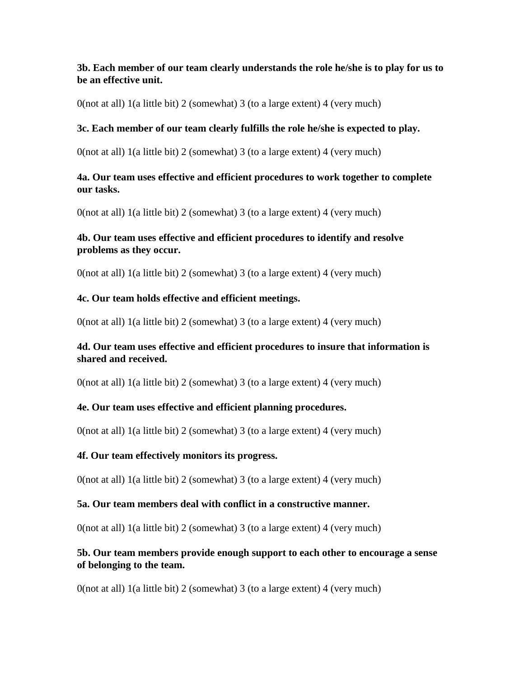## **3b. Each member of our team clearly understands the role he/she is to play for us to be an effective unit.**

0(not at all) 1(a little bit) 2 (somewhat) 3 (to a large extent) 4 (very much)

#### **3c. Each member of our team clearly fulfills the role he/she is expected to play.**

 $0$ (not at all) 1(a little bit) 2 (somewhat) 3 (to a large extent) 4 (very much)

#### **4a. Our team uses effective and efficient procedures to work together to complete our tasks.**

 $0$ (not at all) 1(a little bit) 2 (somewhat) 3 (to a large extent) 4 (very much)

## **4b. Our team uses effective and efficient procedures to identify and resolve problems as they occur.**

 $0$ (not at all) 1(a little bit) 2 (somewhat) 3 (to a large extent) 4 (very much)

## **4c. Our team holds effective and efficient meetings.**

0(not at all) 1(a little bit) 2 (somewhat) 3 (to a large extent) 4 (very much)

## **4d. Our team uses effective and efficient procedures to insure that information is shared and received.**

 $0$ (not at all) 1(a little bit) 2 (somewhat) 3 (to a large extent) 4 (very much)

## **4e. Our team uses effective and efficient planning procedures.**

0(not at all) 1(a little bit) 2 (somewhat) 3 (to a large extent) 4 (very much)

## **4f. Our team effectively monitors its progress.**

0(not at all) 1(a little bit) 2 (somewhat) 3 (to a large extent) 4 (very much)

## **5a. Our team members deal with conflict in a constructive manner.**

 $0$ (not at all) 1(a little bit) 2 (somewhat) 3 (to a large extent) 4 (very much)

## **5b. Our team members provide enough support to each other to encourage a sense of belonging to the team.**

0(not at all) 1(a little bit) 2 (somewhat) 3 (to a large extent) 4 (very much)